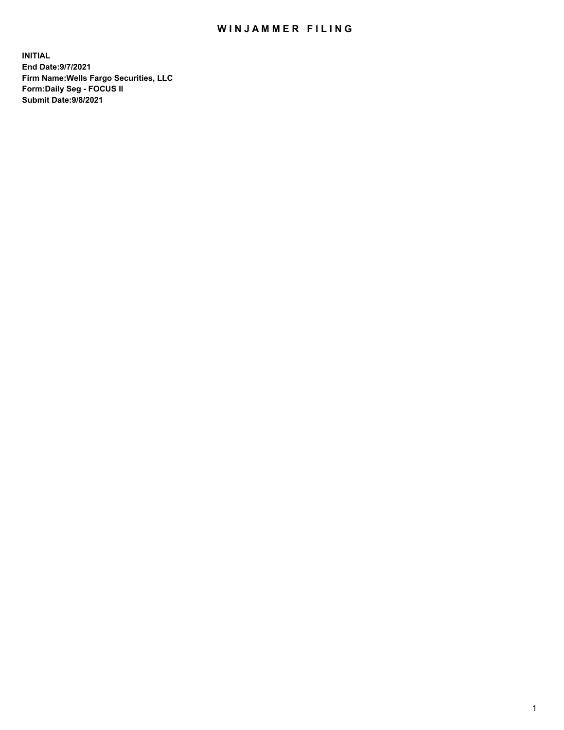## WIN JAMMER FILING

**INITIAL End Date:9/7/2021 Firm Name:Wells Fargo Securities, LLC Form:Daily Seg - FOCUS II Submit Date:9/8/2021**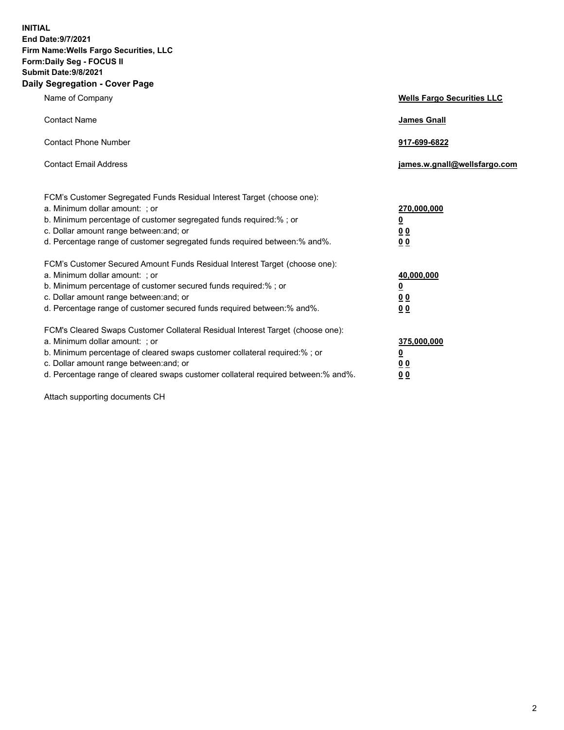**INITIAL End Date:9/7/2021 Firm Name:Wells Fargo Securities, LLC Form:Daily Seg - FOCUS II Submit Date:9/8/2021 Daily Segregation - Cover Page**

| Name of Company                                                                                                                                                                                                                                                                                                               | <b>Wells Fargo Securities LLC</b>                          |
|-------------------------------------------------------------------------------------------------------------------------------------------------------------------------------------------------------------------------------------------------------------------------------------------------------------------------------|------------------------------------------------------------|
| <b>Contact Name</b>                                                                                                                                                                                                                                                                                                           | <b>James Gnall</b>                                         |
| <b>Contact Phone Number</b>                                                                                                                                                                                                                                                                                                   | 917-699-6822                                               |
| <b>Contact Email Address</b>                                                                                                                                                                                                                                                                                                  | james.w.gnall@wellsfargo.com                               |
| FCM's Customer Segregated Funds Residual Interest Target (choose one):<br>a. Minimum dollar amount: ; or<br>b. Minimum percentage of customer segregated funds required:% ; or<br>c. Dollar amount range between: and; or<br>d. Percentage range of customer segregated funds required between:% and%.                        | 270,000,000<br><u>0</u><br>0 <sub>0</sub><br>00            |
| FCM's Customer Secured Amount Funds Residual Interest Target (choose one):<br>a. Minimum dollar amount: ; or<br>b. Minimum percentage of customer secured funds required:%; or<br>c. Dollar amount range between: and; or<br>d. Percentage range of customer secured funds required between: % and %.                         | 40,000,000<br><u>0</u><br>0 <sub>0</sub><br>0 <sub>0</sub> |
| FCM's Cleared Swaps Customer Collateral Residual Interest Target (choose one):<br>a. Minimum dollar amount: ; or<br>b. Minimum percentage of cleared swaps customer collateral required:%; or<br>c. Dollar amount range between: and; or<br>d. Percentage range of cleared swaps customer collateral required between:% and%. | 375,000,000<br><u>0</u><br>00<br>00                        |

Attach supporting documents CH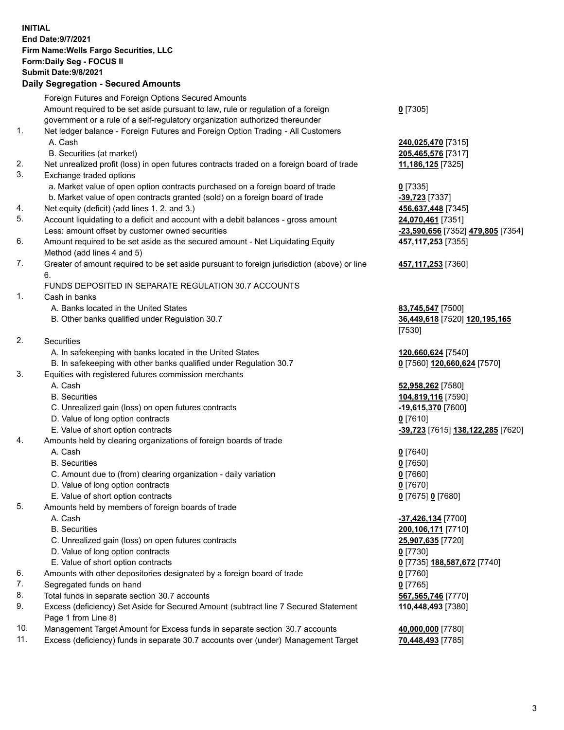**INITIAL End Date:9/7/2021 Firm Name:Wells Fargo Securities, LLC Form:Daily Seg - FOCUS II Submit Date:9/8/2021 Daily Segregation - Secured Amounts**

Foreign Futures and Foreign Options Secured Amounts Amount required to be set aside pursuant to law, rule or regulation of a foreign government or a rule of a self-regulatory organization authorized thereunder **0** [7305] 1. Net ledger balance - Foreign Futures and Foreign Option Trading - All Customers A. Cash **240,025,470** [7315] B. Securities (at market) **205,465,576** [7317] 2. Net unrealized profit (loss) in open futures contracts traded on a foreign board of trade **11,186,125** [7325] 3. Exchange traded options a. Market value of open option contracts purchased on a foreign board of trade **0** [7335] b. Market value of open contracts granted (sold) on a foreign board of trade **-39,723** [7337] 4. Net equity (deficit) (add lines 1. 2. and 3.) **456,637,448** [7345] 5. Account liquidating to a deficit and account with a debit balances - gross amount **24,070,461** [7351] Less: amount offset by customer owned securities **-23,590,656** [7352] **479,805** [7354] 6. Amount required to be set aside as the secured amount - Net Liquidating Equity Method (add lines 4 and 5) **457,117,253** [7355] 7. Greater of amount required to be set aside pursuant to foreign jurisdiction (above) or line 6. **457,117,253** [7360] FUNDS DEPOSITED IN SEPARATE REGULATION 30.7 ACCOUNTS 1. Cash in banks A. Banks located in the United States **83,745,547** [7500] B. Other banks qualified under Regulation 30.7 **36,449,618** [7520] **120,195,165** [7530] 2. Securities A. In safekeeping with banks located in the United States **120,660,624** [7540] B. In safekeeping with other banks qualified under Regulation 30.7 **0** [7560] **120,660,624** [7570] 3. Equities with registered futures commission merchants A. Cash **52,958,262** [7580] B. Securities **104,819,116** [7590] C. Unrealized gain (loss) on open futures contracts **-19,615,370** [7600] D. Value of long option contracts **0** [7610] E. Value of short option contracts **-39,723** [7615] **138,122,285** [7620] 4. Amounts held by clearing organizations of foreign boards of trade A. Cash **0** [7640] B. Securities **0** [7650] C. Amount due to (from) clearing organization - daily variation **0** [7660] D. Value of long option contracts **0** [7670] E. Value of short option contracts **0** [7675] **0** [7680] 5. Amounts held by members of foreign boards of trade A. Cash **-37,426,134** [7700] B. Securities **200,106,171** [7710] C. Unrealized gain (loss) on open futures contracts **25,907,635** [7720] D. Value of long option contracts **0** [7730] E. Value of short option contracts **0** [7735] **188,587,672** [7740] 6. Amounts with other depositories designated by a foreign board of trade **0** [7760] 7. Segregated funds on hand **0** [7765] 8. Total funds in separate section 30.7 accounts **567,565,746** [7770] 9. Excess (deficiency) Set Aside for Secured Amount (subtract line 7 Secured Statement Page 1 from Line 8) **110,448,493** [7380]

- 10. Management Target Amount for Excess funds in separate section 30.7 accounts **40,000,000** [7780]
- 11. Excess (deficiency) funds in separate 30.7 accounts over (under) Management Target **70,448,493** [7785]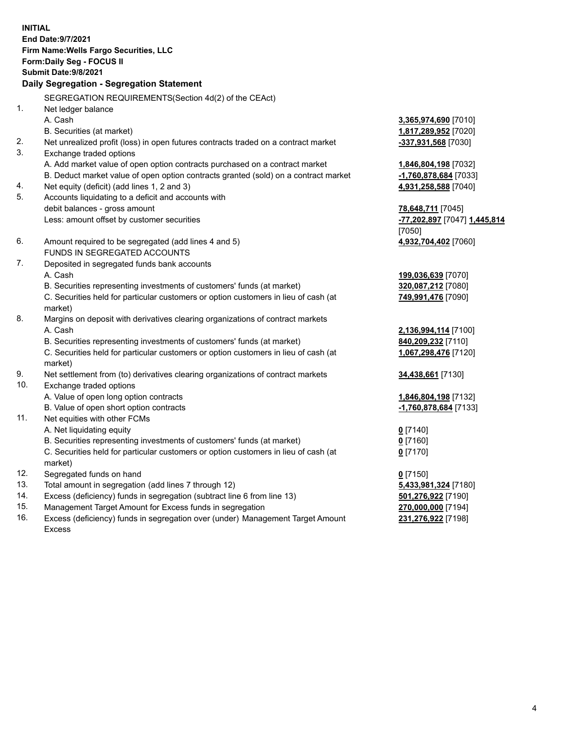**INITIAL End Date:9/7/2021 Firm Name:Wells Fargo Securities, LLC Form:Daily Seg - FOCUS II Submit Date:9/8/2021 Daily Segregation - Segregation Statement** SEGREGATION REQUIREMENTS(Section 4d(2) of the CEAct) 1. Net ledger balance A. Cash **3,365,974,690** [7010] B. Securities (at market) **1,817,289,952** [7020] 2. Net unrealized profit (loss) in open futures contracts traded on a contract market **-337,931,568** [7030] 3. Exchange traded options A. Add market value of open option contracts purchased on a contract market **1,846,804,198** [7032] B. Deduct market value of open option contracts granted (sold) on a contract market **-1,760,878,684** [7033] 4. Net equity (deficit) (add lines 1, 2 and 3) **4,931,258,588** [7040] 5. Accounts liquidating to a deficit and accounts with debit balances - gross amount **78,648,711** [7045] Less: amount offset by customer securities **-77,202,897** [7047] **1,445,814** [7050] 6. Amount required to be segregated (add lines 4 and 5) **4,932,704,402** [7060] FUNDS IN SEGREGATED ACCOUNTS 7. Deposited in segregated funds bank accounts A. Cash **199,036,639** [7070] B. Securities representing investments of customers' funds (at market) **320,087,212** [7080] C. Securities held for particular customers or option customers in lieu of cash (at market) **749,991,476** [7090] 8. Margins on deposit with derivatives clearing organizations of contract markets A. Cash **2,136,994,114** [7100] B. Securities representing investments of customers' funds (at market) **840,209,232** [7110] C. Securities held for particular customers or option customers in lieu of cash (at market) **1,067,298,476** [7120] 9. Net settlement from (to) derivatives clearing organizations of contract markets **34,438,661** [7130] 10. Exchange traded options A. Value of open long option contracts **1,846,804,198** [7132] B. Value of open short option contracts **-1,760,878,684** [7133] 11. Net equities with other FCMs A. Net liquidating equity **0** [7140] B. Securities representing investments of customers' funds (at market) **0** [7160] C. Securities held for particular customers or option customers in lieu of cash (at market) **0** [7170] 12. Segregated funds on hand **0** [7150] 13. Total amount in segregation (add lines 7 through 12) **5,433,981,324** [7180] 14. Excess (deficiency) funds in segregation (subtract line 6 from line 13) **501,276,922** [7190] 15. Management Target Amount for Excess funds in segregation **270,000,000** [7194] **231,276,922** [7198]

16. Excess (deficiency) funds in segregation over (under) Management Target Amount Excess